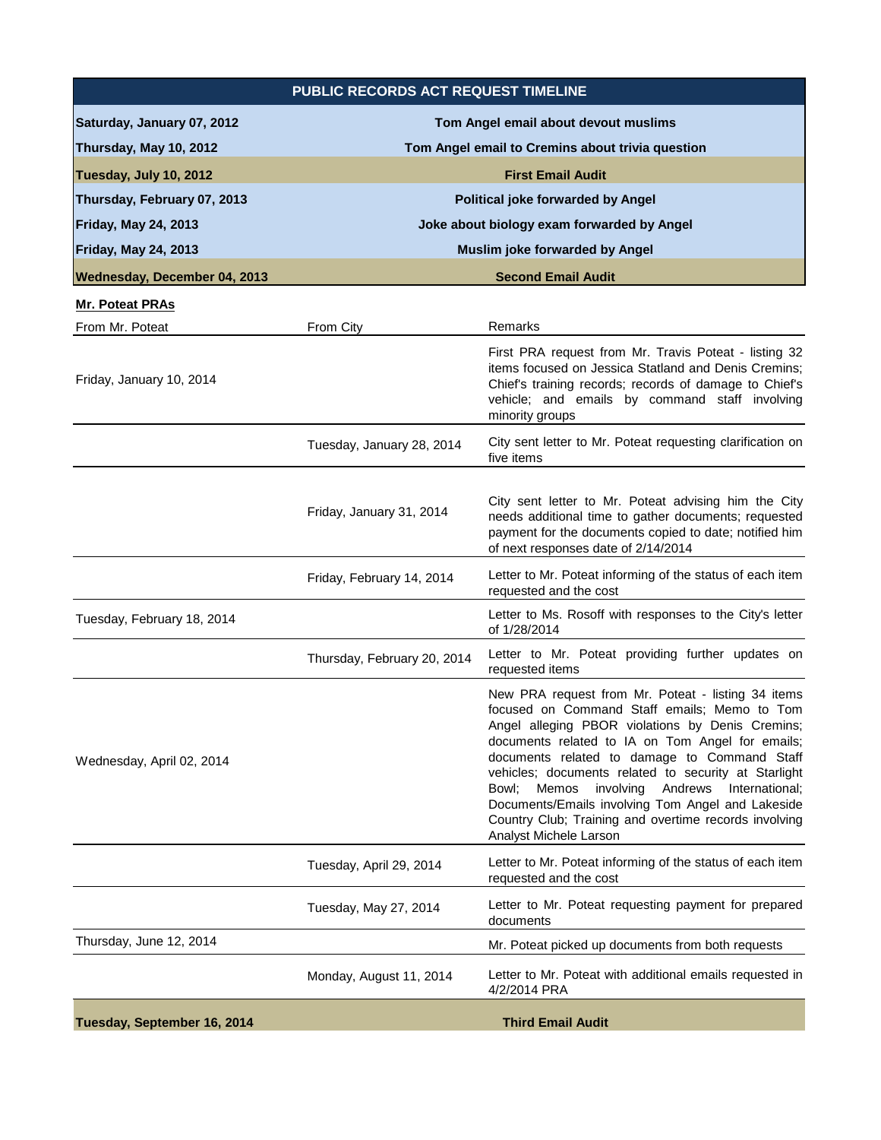| PUBLIC RECORDS ACT REQUEST TIMELINE |                                                  |                                                                                                                                                                                                                                                                                                                                                                                                                                                                                                                  |  |
|-------------------------------------|--------------------------------------------------|------------------------------------------------------------------------------------------------------------------------------------------------------------------------------------------------------------------------------------------------------------------------------------------------------------------------------------------------------------------------------------------------------------------------------------------------------------------------------------------------------------------|--|
| Saturday, January 07, 2012          | Tom Angel email about devout muslims             |                                                                                                                                                                                                                                                                                                                                                                                                                                                                                                                  |  |
| Thursday, May 10, 2012              | Tom Angel email to Cremins about trivia question |                                                                                                                                                                                                                                                                                                                                                                                                                                                                                                                  |  |
| Tuesday, July 10, 2012              | <b>First Email Audit</b>                         |                                                                                                                                                                                                                                                                                                                                                                                                                                                                                                                  |  |
| Thursday, February 07, 2013         | Political joke forwarded by Angel                |                                                                                                                                                                                                                                                                                                                                                                                                                                                                                                                  |  |
| <b>Friday, May 24, 2013</b>         | Joke about biology exam forwarded by Angel       |                                                                                                                                                                                                                                                                                                                                                                                                                                                                                                                  |  |
| Friday, May 24, 2013                | <b>Muslim joke forwarded by Angel</b>            |                                                                                                                                                                                                                                                                                                                                                                                                                                                                                                                  |  |
| Wednesday, December 04, 2013        |                                                  | <b>Second Email Audit</b>                                                                                                                                                                                                                                                                                                                                                                                                                                                                                        |  |
| <b>Mr. Poteat PRAs</b>              |                                                  |                                                                                                                                                                                                                                                                                                                                                                                                                                                                                                                  |  |
| From Mr. Poteat                     | From City                                        | Remarks                                                                                                                                                                                                                                                                                                                                                                                                                                                                                                          |  |
| Friday, January 10, 2014            |                                                  | First PRA request from Mr. Travis Poteat - listing 32<br>items focused on Jessica Statland and Denis Cremins;<br>Chief's training records; records of damage to Chief's<br>vehicle; and emails by command staff involving<br>minority groups                                                                                                                                                                                                                                                                     |  |
|                                     | Tuesday, January 28, 2014                        | City sent letter to Mr. Poteat requesting clarification on<br>five items                                                                                                                                                                                                                                                                                                                                                                                                                                         |  |
|                                     | Friday, January 31, 2014                         | City sent letter to Mr. Poteat advising him the City<br>needs additional time to gather documents; requested<br>payment for the documents copied to date; notified him<br>of next responses date of 2/14/2014                                                                                                                                                                                                                                                                                                    |  |
|                                     | Friday, February 14, 2014                        | Letter to Mr. Poteat informing of the status of each item<br>requested and the cost                                                                                                                                                                                                                                                                                                                                                                                                                              |  |
| Tuesday, February 18, 2014          |                                                  | Letter to Ms. Rosoff with responses to the City's letter<br>of 1/28/2014                                                                                                                                                                                                                                                                                                                                                                                                                                         |  |
|                                     | Thursday, February 20, 2014                      | Letter to Mr. Poteat providing further updates on<br>requested items                                                                                                                                                                                                                                                                                                                                                                                                                                             |  |
| Wednesday, April 02, 2014           |                                                  | New PRA request from Mr. Poteat - listing 34 items<br>focused on Command Staff emails; Memo to Tom<br>Angel alleging PBOR violations by Denis Cremins;<br>documents related to IA on Tom Angel for emails;<br>documents related to damage to Command Staff<br>vehicles; documents related to security at Starlight<br>Bowl; Memos<br>involving Andrews<br>International:<br>Documents/Emails involving Tom Angel and Lakeside<br>Country Club; Training and overtime records involving<br>Analyst Michele Larson |  |
|                                     | Tuesday, April 29, 2014                          | Letter to Mr. Poteat informing of the status of each item<br>requested and the cost                                                                                                                                                                                                                                                                                                                                                                                                                              |  |
|                                     | Tuesday, May 27, 2014                            | Letter to Mr. Poteat requesting payment for prepared<br>documents                                                                                                                                                                                                                                                                                                                                                                                                                                                |  |
| Thursday, June 12, 2014             |                                                  | Mr. Poteat picked up documents from both requests                                                                                                                                                                                                                                                                                                                                                                                                                                                                |  |
|                                     | Monday, August 11, 2014                          | Letter to Mr. Poteat with additional emails requested in<br>4/2/2014 PRA                                                                                                                                                                                                                                                                                                                                                                                                                                         |  |
| Tuesday, September 16, 2014         | <b>Third Email Audit</b>                         |                                                                                                                                                                                                                                                                                                                                                                                                                                                                                                                  |  |